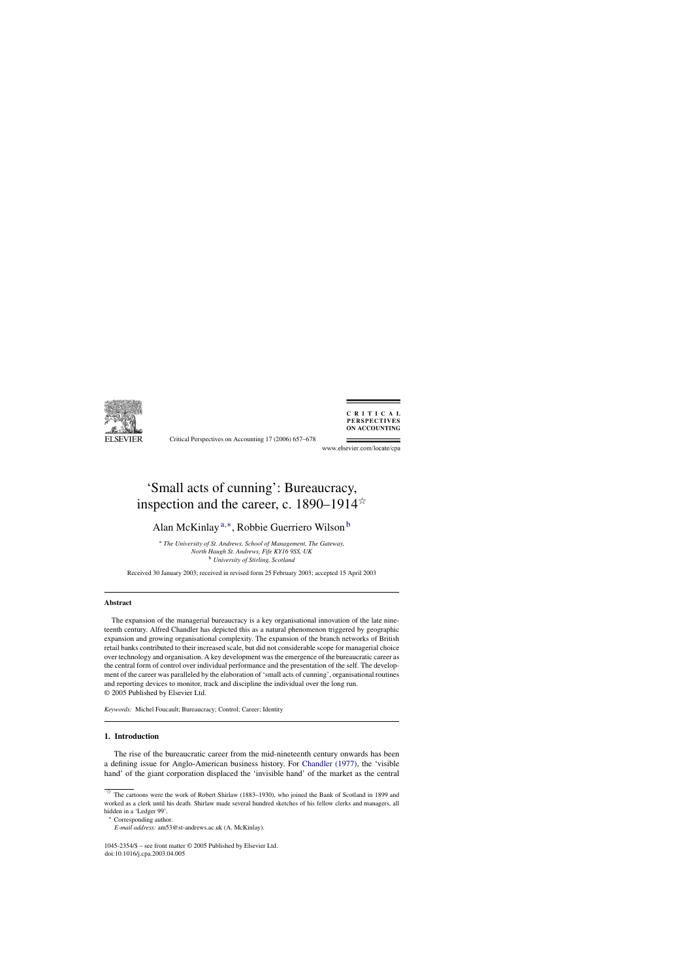

Critical Perspectives on Accounting 17 (2006) 657–678

CRITICAL **PERSPECTIVES ON ACCOUNTING** 

www.elsevier.com/locate/cpa

# 'Small acts of cunning': Bureaucracy, inspection and the career, c. 1890–1914 $\approx$

## Alan McKinlay <sup>a</sup>,∗, Robbie Guerriero Wilson <sup>b</sup>

<sup>a</sup> *The University of St. Andrews, School of Management, The Gateway, North Haugh St. Andrews, Fife KY16 9SS, UK* <sup>b</sup> *University of Stirling, Scotland*

Received 30 January 2003; received in revised form 25 February 2003; accepted 15 April 2003

#### **Abstract**

The expansion of the managerial bureaucracy is a key organisational innovation of the late nineteenth century. Alfred Chandler has depicted this as a natural phenomenon triggered by geographic expansion and growing organisational complexity. The expansion of the branch networks of British retail banks contributed to their increased scale, but did not considerable scope for managerial choice over technology and organisation. A key development was the emergence of the bureaucratic career as the central form of control over individual performance and the presentation of the self. The development of the career was paralleled by the elaboration of 'small acts of cunning', organisational routines and reporting devices to monitor, track and discipline the individual over the long run. © 2005 Published by Elsevier Ltd.

*Keywords:* Michel Foucault; Bureaucracy; Control; Career; Identity

### **1. Introduction**

The rise of the bureaucratic career from the mid-nineteenth century onwards has been a defining issue for Anglo-American business history. For [Chandler \(1977\),](#page--1-0) the 'visible hand' of the giant corporation displaced the 'invisible hand' of the market as the central

 $\overrightarrow{x}$  The cartoons were the work of Robert Shirlaw (1883–1930), who joined the Bank of Scotland in 1899 and worked as a clerk until his death. Shirlaw made several hundred sketches of his fellow clerks and managers, all hidden in a 'Ledger 99'.

<sup>∗</sup> Corresponding author.

*E-mail address:* am53@st-andrews.ac.uk (A. McKinlay).

<sup>1045-2354/\$ –</sup> see front matter © 2005 Published by Elsevier Ltd. doi:10.1016/j.cpa.2003.04.005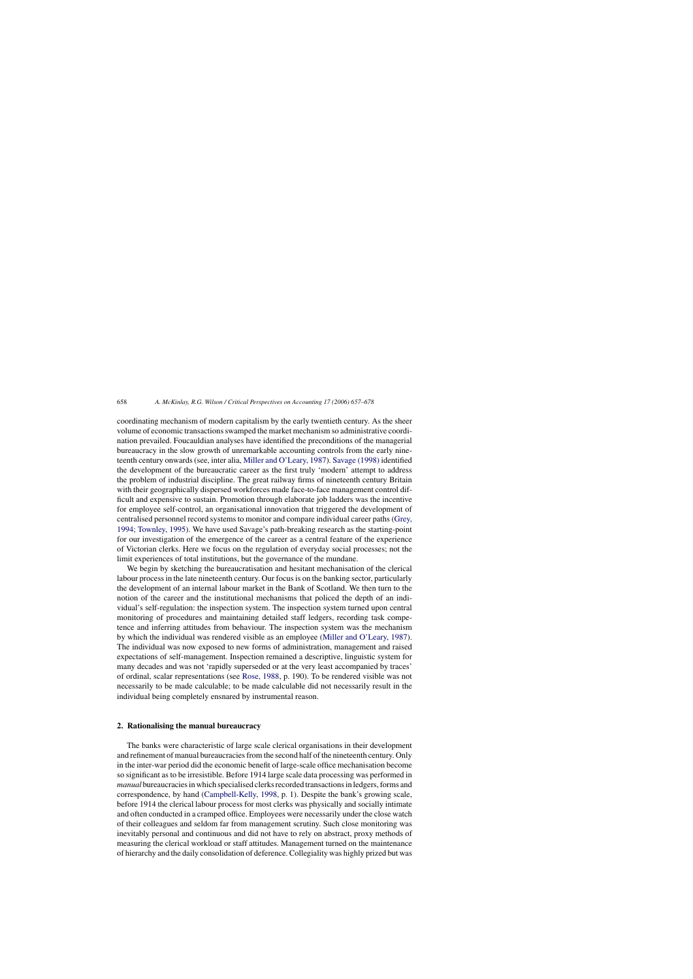coordinating mechanism of modern capitalism by the early twentieth century. As the sheer volume of economic transactions swamped the market mechanism so administrative coordination prevailed. Foucauldian analyses have identified the preconditions of the managerial bureaucracy in the slow growth of unremarkable accounting controls from the early nineteenth century onwards (see, inter alia, [Miller and O'Leary, 1987\).](#page--1-0) [Savage \(1998\)](#page--1-0) identified the development of the bureaucratic career as the first truly 'modern' attempt to address the problem of industrial discipline. The great railway firms of nineteenth century Britain with their geographically dispersed workforces made face-to-face management control difficult and expensive to sustain. Promotion through elaborate job ladders was the incentive for employee self-control, an organisational innovation that triggered the development of centralised personnel record systems to monitor and compare individual career paths [\(Grey,](#page--1-0) [1994; Townley, 1995\).](#page--1-0) We have used Savage's path-breaking research as the starting-point for our investigation of the emergence of the career as a central feature of the experience of Victorian clerks. Here we focus on the regulation of everyday social processes; not the limit experiences of total institutions, but the governance of the mundane.

We begin by sketching the bureaucratisation and hesitant mechanisation of the clerical labour process in the late nineteenth century. Our focus is on the banking sector, particularly the development of an internal labour market in the Bank of Scotland. We then turn to the notion of the career and the institutional mechanisms that policed the depth of an individual's self-regulation: the inspection system. The inspection system turned upon central monitoring of procedures and maintaining detailed staff ledgers, recording task competence and inferring attitudes from behaviour. The inspection system was the mechanism by which the individual was rendered visible as an employee [\(Miller and O'Leary, 1987\).](#page--1-0) The individual was now exposed to new forms of administration, management and raised expectations of self-management. Inspection remained a descriptive, linguistic system for many decades and was not 'rapidly superseded or at the very least accompanied by traces' of ordinal, scalar representations (see [Rose, 1988,](#page--1-0) p. 190). To be rendered visible was not necessarily to be made calculable; to be made calculable did not necessarily result in the individual being completely ensnared by instrumental reason.

### **2. Rationalising the manual bureaucracy**

The banks were characteristic of large scale clerical organisations in their development and refinement of manual bureaucracies from the second half of the nineteenth century. Only in the inter-war period did the economic benefit of large-scale office mechanisation become so significant as to be irresistible. Before 1914 large scale data processing was performed in *manual* bureaucracies in which specialised clerks recorded transactions in ledgers, forms and correspondence, by hand [\(Campbell-Kelly, 1998,](#page--1-0) p. 1). Despite the bank's growing scale, before 1914 the clerical labour process for most clerks was physically and socially intimate and often conducted in a cramped office. Employees were necessarily under the close watch of their colleagues and seldom far from management scrutiny. Such close monitoring was inevitably personal and continuous and did not have to rely on abstract, proxy methods of measuring the clerical workload or staff attitudes. Management turned on the maintenance of hierarchy and the daily consolidation of deference. Collegiality was highly prized but was